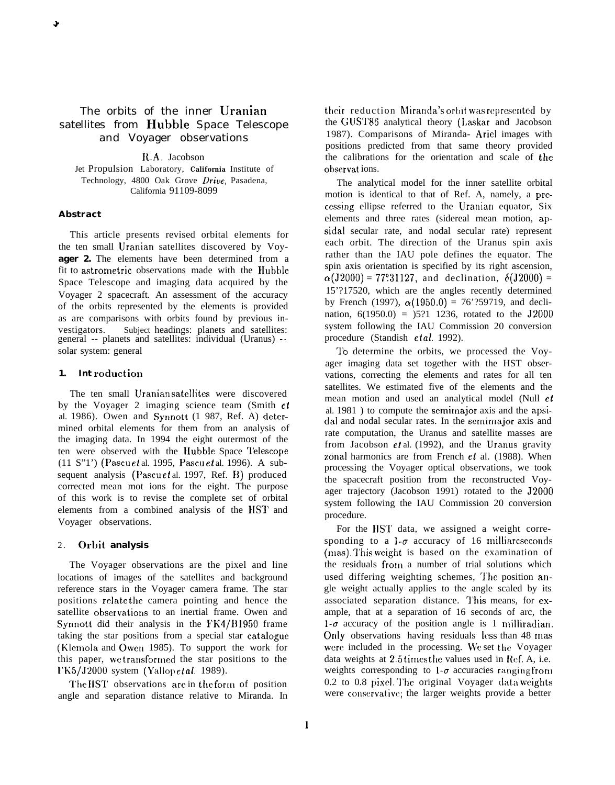# The orbits of the inner Uranian satellites from Hubble Space Telescope and Voyager observations

R.A. Jacobson Jet Propulsion Laboratory, **California** Institute of Technology, 4800 Oak Grove Drive, Pasadena, California 91109-8099

#### **Abstract**

This article presents revised orbital elements for the ten small Uranian satellites discovered by Voy**ager 2.** The elements have been determined from a fit to astrometric observations made with the Hubble Space Telescope and imaging data acquired by the Voyager 2 spacecraft. An assessment of the accuracy of the orbits represented by the elements is provided as are comparisons with orbits found by previous investigators. Subject headings: planets and satellites: general -- planets and satellites: individual (Uranus) solar system: general

#### 1. **Introduction**

The ten small Uranian satcllites were discovered by the Voyager 2 imaging science team (Smith et al. 1986). Owen and Synnott  $(1\ 987, \text{Ref. A})$  determined orbital elements for them from an analysis of the imaging data. In 1994 the eight outermost of the ten were observed with the Hubble Space Telescope  $(11 S"1')$  (Pascu et al. 1995, Pascu et al. 1996). A subsequent analysis (Pascu et al. 1997, Ref. B) produced corrected mean mot ions for the eight. The purpose of this work is to revise the complete set of orbital elements from a combined analysis of the 11ST and Voyager observations.

#### 2. **Orbit analysis**

The Voyager observations are the pixel and line locations of images of the satellites and background reference stars in the Voyager camera frame. The star positions relate the camera pointing and hence the satellite observations to an inertial frame. Owen and Synnott did their analysis in the FK4/B1950 frame taking the star positions from a special star catalogue (Klemola and Owen 1985). To support the work for this paper, we transformed the star positions to the l'K5/J2000 system (Yallop et al. 1989).

The IIST observations are in the form of position angle and separation distance relative to Miranda. In their reduction Miranda's orbit was represented by the GUST86 analytical theory (Laskar and Jacobson 1987). Comparisons of Miranda- Ariel images with positions predicted from that same theory provided the calibrations for the orientation and scale of the obscrvat ions.

The analytical model for the inner satellite orbital motion is identical to that of Ref. A, namely, a precessing ellipse referred to the Uranian equator, Six elements and three rates (sidereal mean motion, ap sidal secular rate, and nodal secular rate) represent each orbit. The direction of the Uranus spin axis rather than the IAU pole defines the equator. The spin axis orientation is specified by its right ascension,  $\alpha($ J2000) = 77°.31127, and declination,  $\delta$ (J2000) = 15'?17520, which are the angles recently determined by French (1997),  $\alpha(1950.0) = 76'$ ?59719, and declination,  $6(1950.0) = 571$  1236, rotated to the J2000 system following the IAU Commission 20 conversion procedure (Standish et al. 1992).

'lo determine the orbits, we processed the Voyager imaging data set together with the HST observations, correcting the elements and rates for all ten satellites. We estimated five of the elements and the mean motion and used an analytical model (Null et al. 1981 ) to compute the sernirnajor axis and the apsidal and nodal secular rates. In the scmirnajor axis and rate computation, the Uranus and satellite masses are from Jacobson *et al.* (1992), and the Uranus gravity zonal harmonics are from French  $et$  al. (1988). When processing the Voyager optical observations, we took the spacecraft position from the reconstructed Voyager trajectory (Jacobson 1991) rotated to the J2000 system following the IAU Commission 20 conversion procedure.

For the IIST data, we assigned a weight corresponding to a 1- $\sigma$  accuracy of 16 milliarcseconds  $(mas)$ . This weight is based on the examination of the residuals from a number of trial solutions which used differing weighting schemes, The position angle weight actually applies to the angle scaled by its associated separation distance. This means, for example, that at a separation of 16 seconds of arc, the  $1-\sigma$  accuracy of the position angle is 1 milliradian. Only observations having residuals less than 48 mas were included in the processing. We set the Voyager data weights at  $2.5$  times the values used in Ref. A, i.e. weights corresponding to  $1-\sigma$  accuracies ranging from 0.2 to 0.8 pixel. The original Voyager data weights were conservative; the larger weights provide a better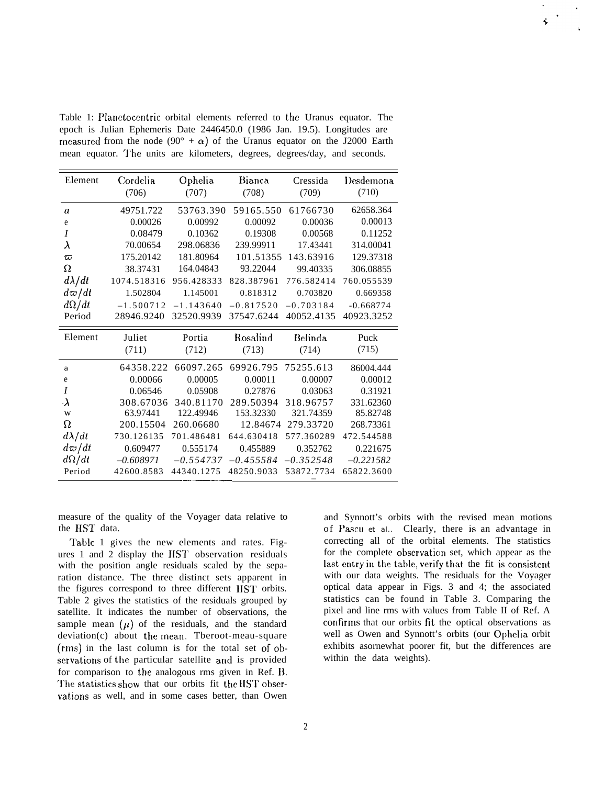Table 1: Planetocentric orbital elements referred to the Uranus equator. The epoch is Julian Ephemeris Date 2446450.0 (1986 Jan. 19.5). Longitudes are measured from the node (90° +  $\alpha$ ) of the Uranus equator on the J2000 Earth mean equator. The units are kilometers, degrees, degrees/day, and seconds.

| Element          | Cordelia<br>(706) | Ophelia<br>(707) | Bianca<br>(708) | Cressida<br>(709) | Desdemona<br>(710) |
|------------------|-------------------|------------------|-----------------|-------------------|--------------------|
| $\boldsymbol{a}$ | 49751.722         | 53763.390        | 59165.550       | 61766730          | 62658.364          |
| e                | 0.00026           | 0.00992          | 0.00092         | 0.00036           | 0.00013            |
| I                | 0.08479           | 0.10362          | 0.19308         | 0.00568           | 0.11252            |
| λ                | 70.00654          | 298.06836        | 239.99911       | 17.43441          | 314.00041          |
| $\varpi$         | 175.20142         | 181.80964        | 101.51355       | 143.63916         | 129.37318          |
| Ω                | 38.37431          | 164.04843        | 93.22044        | 99.40335          | 306.08855          |
| $d\lambda/dt$    | 1074.518316       | 956.428333       | 828.387961      | 776.582414        | 760.055539         |
| $d\varpi/dt$     | 1.502804          | 1.145001         | 0.818312        | 0.703820          | 0.669358           |
| $d\Omega/dt$     | $-1.500712$       | $-1.143640$      | $-0.817520$     | $-0.703184$       | $-0.668774$        |
| Period           | 28946.9240        | 32520.9939       | 37547.6244      | 40052.4135        | 40923.3252         |
|                  |                   |                  |                 |                   |                    |
| Element          | Juliet            | Portia           | Rosalind        | Belinda           | Puck               |
|                  | (711)             | (712)            | (713)           | (714)             | (715)              |
| a                | 64358.222         | 66097.265        | 69926.795       | 75255.613         | 86004.444          |
| e                | 0.00066           | 0.00005          | 0.00011         | 0.00007           | 0.00012            |
| $\boldsymbol{I}$ | 0.06546           | 0.05908          | 0.27876         | 0.03063           | 0.31921            |
| $\cdot \lambda$  | 308.67036         | 340.81170        | 289.50394       | 318.96757         | 331.62360          |
| W                | 63.97441          | 122.49946        | 153.32330       | 321.74359         | 85.82748           |
| Ω                | 200.15504         | 260.06680        | 12.84674        | 279.33720         | 268.73361          |
| $d\lambda/dt$    | 730.126135        | 701.486481       | 644.630418      | 577.360289        | 472.544588         |
| $d\varpi/dt$     | 0.609477          | 0.555174         | 0.455889        | 0.352762          | 0.221675           |
| $d\Omega/dt$     | $-0.608971$       | $-0.554737$      | $-0.455584$     | $-0.352548$       | $-0.221582$        |

measure of the quality of the Voyager data relative to the HST data.

Table 1 gives the new elements and rates. Figures 1 and 2 display the HST observation residuals with the position angle residuals scaled by the separation distance. The three distinct sets apparent in the figures correspond to three different HST orbits. Table 2 gives the statistics of the residuals grouped by satellite. It indicates the number of observations, the sample mean  $(\mu)$  of the residuals, and the standard deviation(c) about the mean. Tberoot-meau-square (rms) in the last column is for the total set of observations of the particular satellite and is provided for comparison to the analogous rms given in Ref. B. The statistics show that our orbits fit the HST observations as well, and in some cases better, than Owen and Synnott's orbits with the revised mean motions of Pascu et al.. Clearly, there is an advantage in correcting all of the orbital elements. The statistics for the complete observation set, which appear as the last entry in the table, verify that the fit is consistent with our data weights. The residuals for the Voyager optical data appear in Figs. 3 and 4; the associated statistics can be found in Table 3. Comparing the pixel and line rms with values from Table II of Ref. A confirms that our orbits fit the optical observations as well as Owen and Synnott's orbits (our Ophelia orbit exhibits asornewhat poorer fit, but the differences are within the data weights).

š,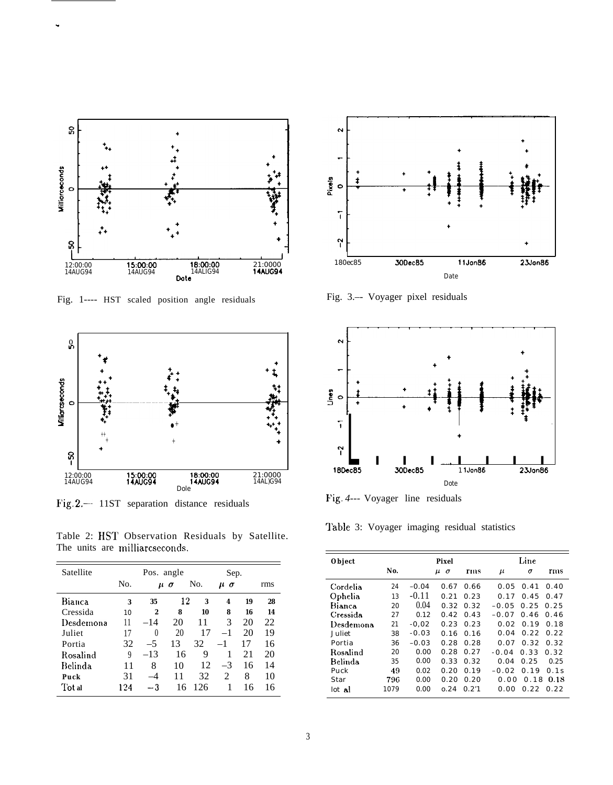

Fig. 1---- HST scaled position angle residuals



Fig. 2.-- 11ST separation distance residuals

Table 2: HST Observation Residuals by Satellite. The units are milliarcseconds.

| Satellite |     | Sep.  |                |     |                             |    |     |
|-----------|-----|-------|----------------|-----|-----------------------------|----|-----|
|           | No. |       | $\mu$ $\sigma$ | No. | $\mu$ $\sigma$              |    | rms |
| Bianca    | 3   | 35    | 12             | 3   | 4                           | 19 | 28  |
| Cressida  | 10  | 2     | 8              | 10  | 8                           | 16 | 14  |
| Desdemona | 11  | $-14$ | 20             | 11  | 3                           | 20 | 22  |
| Juliet    | 17  | 0     | 20             | 17  | $-1$                        | 20 | 19  |
| Portia    | 32  | $-5$  | 13             | 32  | $-1$                        | 17 | 16  |
| Rosalind  | 9   | $-13$ | 16             | 9   |                             | 21 | 20  |
| Belinda   | 11  | 8     | 10             | 12  | $-3$                        | 16 | 14  |
| Puck      | 31  |       | 11             | 32  | $\mathcal{D}_{\mathcal{L}}$ | 8  | 10  |
| Tot al    | 124 | - 3   | 16             | 126 | 1                           | 16 | 16  |



Fig. 3.-- Voyager pixel residuals



Fig. 4--- Voyager line residuals

Table 3: Voyager imaging residual statistics

| Object    |      | Pixel   |               |       | Line    |      |      |
|-----------|------|---------|---------------|-------|---------|------|------|
|           | No.  |         | μ<br>$\sigma$ | rms   | μ       | σ    | rms  |
| Cordelia  | 24   | $-0.04$ | 0.67          | 0.66  | 0.05    | 0.41 | 0.40 |
| Ophelia   | 13   | $-0.11$ | 0.21          | 0.23  | 0.17    | 0.45 | 0.47 |
| Bianca    | 20   | 0.04    | 0.32          | 0.32  | $-0.05$ | 0.25 | 0.25 |
| Cressida  | 27   | 0.12    | 0.42          | 0.43  | $-0.07$ | 0.46 | 0.46 |
| Desdemona | 21   | $-0.02$ | 0.23          | 0.23  | 0.02    | 0.19 | 0.18 |
| Juliet.   | 38   | $-0.03$ | 0.16          | 0.16  | 0.04    | 0.22 | 0.22 |
| Portia    | 36   | $-0.03$ | 0.28          | 0.28  | 0.07    | 0.32 | 0.32 |
| Rosalind  | 20   | 0.00    | 0.28          | 0.27  | $-0.04$ | 0.33 | 0.32 |
| Belinda   | 35   | 0.00    | 0.33          | 0.32  | 0.04    | 0.25 | 0.25 |
| Puck      | 49   | 0.02    | 0.20          | 0.19  | $-0.02$ | 0.19 | 0.1s |
| Star      | 796  | 0.00    | 0.20          | 0.20  | 0.00    | 0.18 | 0.18 |
| lot al    | 1079 | 0.00    | 0.24          | 0.2'1 | 0.00    | 0.22 | 0.22 |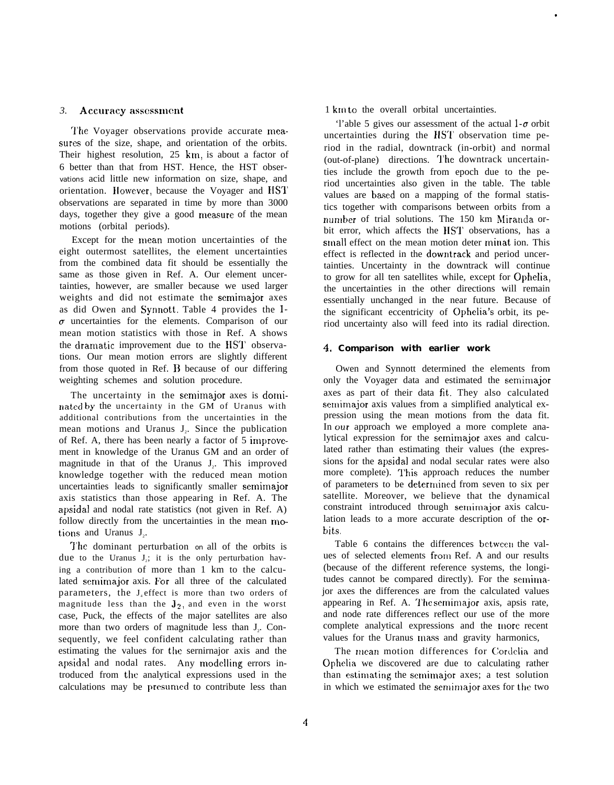#### 3. **Accuracy** assessment

The Voyager observations provide accurate measures of the size, shape, and orientation of the orbits. Their highest resolution, 25 Km, is about a factor of 6 better than that from HST. Hence, the HST observations acid little new information on size, shape, and orientation. Ilowever, because the Voyager and HS1' observations are separated in time by more than 3000 days, together they give a good measure of the mean motions (orbital periods).

Except for the mean motion uncertainties of the eight outermost satellites, the element uncertainties from the combined data fit should be essentially the same as those given in Ref. A. Our element uncertainties, however, are smaller because we used larger weights and did not estimate the semimator axes as did Owen and Synnott. Table 4 provides the 1-  $\sigma$  uncertainties for the elements. Comparison of our mean motion statistics with those in Ref. A shows the dramatic improvement due to the HST observations. Our mean motion errors are slightly different from those quoted in Ref. R because of our differing weighting schemes and solution procedure.

The uncertainty in the semimajor axes is dominated by the uncertainty in the GM of Uranus with additional contributions from the uncertainties in the mean motions and Uranus  $J_2$ . Since the publication of Ref. A, there has been nearly a factor of  $5$  improvement in knowledge of the Uranus GM and an order of magnitude in that of the Uranus  $J_2$ . This improved knowledge together with the reduced mean motion uncertainties leads to significantly smaller semirnajor axis statistics than those appearing in Ref. A. The apsidal and nodal rate statistics (not given in Ref. A) follow directly from the uncertainties in the mean motions and Uranus  $J_2$ .

The dominant perturbation on all of the orbits is due to the Uranus  $J_2$ ; it is the only perturbation having a contribution of more than 1 km to the calculated sernimajor axis. For all three of the calculated parameters, the  $J_4$  effect is more than two orders of magnitude less than the  $J_2$ , and even in the worst case, Puck, the effects of the major satellites are also more than two orders of magnitude less than  $J_2$ . Consequently, we feel confident calculating rather than estimating the values for the sernirnajor axis and the apsidal and nodal rates. Any modelling errors introduced from the analytical expressions used in the calculations may be prcsurned to contribute less than

1 krn to the overall orbital uncertainties.

'l'able 5 gives our assessment of the actual  $1-\sigma$  orbit uncertainties during the HST observation time period in the radial, downtrack (in-orbit) and normal (out-of-plane) directions. The downtrack uncertainties include the growth from epoch due to the period uncertainties also given in the table. The table values are based on a mapping of the formal statistics together with comparisons between orbits from a number of trial solutions. The 150 km Miranda orbit error, which affects the HST observations, has a small effect on the mean motion deter minat ion. This effect is reflected in the downtrack and period uncertainties. Uncertainty in the downtrack will continue to grow for all ten satellites while, except for Ophelia, the uncertainties in the other directions will remain essentially unchanged in the near future. Because of the significant eccentricity of Ophelia's orbit, its period uncertainty also will feed into its radial direction.

.

#### **4. Comparison with earlier work**

Owen and Synnott determined the elements from only the Voyager data and estimated the semirnajor axes as part of their data fit. They also calculated semimajor axis values from a simplified analytical expression using the mean motions from the data fit. In our approach we employed a more complete analytical expression for the sernimajor axes and calculated rather than estimating their values (the expressions for the apsidal and nodal secular rates were also more complete). This approach reduces the number of parameters to be determined from seven to six per satellite. Moreover, we believe that the dynamical constraint introduced through semimajor axis calculation leads to a more accurate description of the orbits.

Table 6 contains the differences between the values of selected elements from Ref. A and our results (because of the different reference systems, the longitudes cannot be compared directly). For the semimajor axes the differences are from the calculated values appearing in Ref. A. The semimajor axis, apsis rate, and node rate differences reflect our use of the more complete analytical expressions and the more recent values for the Uranus mass and gravity harmonics,

The mean motion differences for Cordelia and Ophelia we discovered are due to calculating rather than estimating the semimajor axes; a test solution in which we estimated the semimajor axes for the two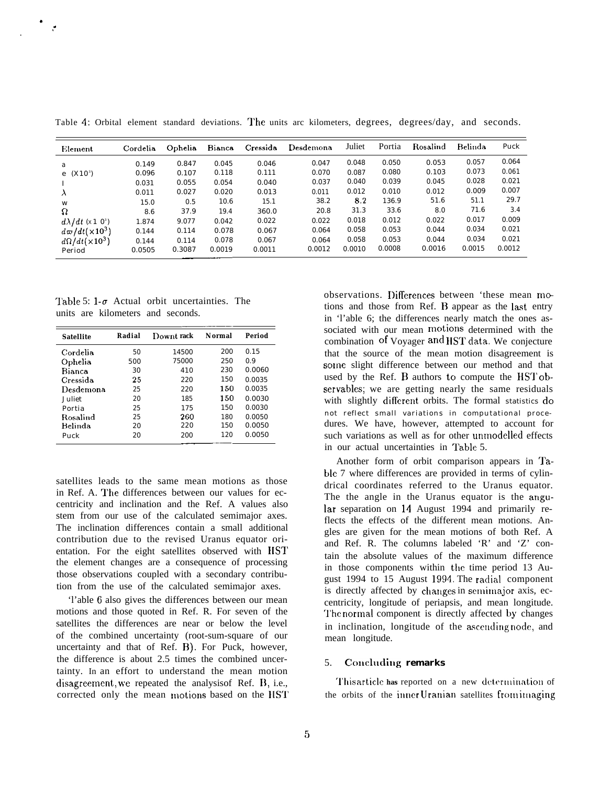Table 4: Orbital element standard deviations. The units arc kilometers, degrees, degrees/day, and seconds.

| Element                             | Cordelia | Ophelia | <b>Bianca</b> | Cressida | Desdemona | Juliet | Portia | Rosalind | Belinda | Puck   |
|-------------------------------------|----------|---------|---------------|----------|-----------|--------|--------|----------|---------|--------|
| a                                   | 0.149    | 0.847   | 0.045         | 0.046    | 0.047     | 0.048  | 0.050  | 0.053    | 0.057   | 0.064  |
| e $(X10^3)$                         | 0.096    | 0.107   | 0.118         | 0.111    | 0.070     | 0.087  | 0.080  | 0.103    | 0.073   | 0.061  |
|                                     | 0.031    | 0.055   | 0.054         | 0.040    | 0.037     | 0.040  | 0.039  | 0.045    | 0.028   | 0.021  |
| λ                                   | 0.011    | 0.027   | 0.020         | 0.013    | 0.011     | 0.012  | 0.010  | 0.012    | 0.009   | 0.007  |
| W                                   | 15.0     | 0.5     | 10.6          | 15.1     | 38.2      | 8.2    | 136.9  | 51.6     | 51.1    | 29.7   |
| Ω                                   | 8.6      | 37.9    | 19.4          | 360.0    | 20.8      | 31.3   | 33.6   | 8.0      | 71.6    | 3.4    |
| $d\lambda/dt$ (x 1 0 <sup>3</sup> ) | 1.874    | 9.077   | 0.042         | 0.022    | 0.022     | 0.018  | 0.012  | 0.022    | 0.017   | 0.009  |
| $d\varpi/dt(\times 10^3)$           | 0.144    | 0.114   | 0.078         | 0.067    | 0.064     | 0.058  | 0.053  | 0.044    | 0.034   | 0.021  |
| $d\Omega/dt(\times 10^3)$           | 0.144    | 0.114   | 0.078         | 0.067    | 0.064     | 0.058  | 0.053  | 0.044    | 0.034   | 0.021  |
| Period                              | 0.0505   | 0.3087  | 0.0019        | 0.0011   | 0.0012    | 0.0010 | 0.0008 | 0.0016   | 0.0015  | 0.0012 |

Table 5: 1- $\sigma$  Actual orbit uncertainties. The units are kilometers and seconds.

| <b>Satellite</b> | Radial | Downt rack | Normal | Period |
|------------------|--------|------------|--------|--------|
| Cordelia         | 50     | 14500      | 200    | 0.15   |
| Ophelia          | 500    | 75000      | 250    | 0.9    |
| Bianca           | 30     | 410        | 230    | 0.0060 |
| Cressida         | 25     | 220        | 150    | 0.0035 |
| Desdemona        | 25     | 220        | 150    | 0.0035 |
| Juliet           | 20     | 185        | 150    | 0.0030 |
| Portia           | 25     | 175        | 150    | 0.0030 |
| Rosalind         | 25     | 260        | 180    | 0.0050 |
| Belinda          | 20     | 220        | 150    | 0.0050 |
| Puck             | 20     | 200        | 120    | 0.0050 |

satellites leads to the same mean motions as those in Ref. A. The differences between our values for eccentricity and inclination and the Ref. A values also stem from our use of the calculated semimajor axes. The inclination differences contain a small additional contribution due to the revised Uranus equator orientation. For the eight satellites observed with HST the element changes are a consequence of processing those observations coupled with a secondary contribution from the use of the calculated semimajor axes.

Table 6 also gives the differences between our mean motions and those quoted in Ref. R. For seven of the satellites the differences are near or below the level of the combined uncertainty (root-sum-square of our uncertainty and that of Ref. B). For Puck, however, the difference is about 2.5 times the combined uncertainty. In an effort to understand the mean motion disagreement, we repeated the analysis of Ref. B, i.e., corrected only the mean motions based on the HST

observations. Differences between 'these mean motions and those from Ref. B appear as the last entry in 'l'able 6; the differences nearly match the ones associated with our mean motions determined with the combination of Voyager and HST data. We conjecture that the source of the mean motion disagreement is some slight difference between our method and that used by the Ref. B authors to compute the HST observables; we are getting nearly the same residuals with slightly different orbits. The formal statistics do not reflect small variations in computational procedures. We have, however, attempted to account for such variations as well as for other unmodelled effects in our actual uncertainties in Table 5.

Another form of orbit comparison appears in Table 7 where differences are provided in terms of cylindrical coordinates referred to the Uranus equator. The the angle in the Uranus equator is the angular separation on 14 August 1994 and primarily reflects the effects of the different mean motions. Angles are given for the mean motions of both Ref. A and Ref. R. The columns labeled 'R' and 'Z' contain the absolute values of the maximum difference in those components within the time period 13 August 1994 to 15 August 1994. The radial component is directly affected by changes in semimajor axis, eccentricity, longitude of periapsis, and mean longitude. The normal component is directly affected by changes in inclination, longitude of the ascending node, and mean longitude.

## 5. Concluding remarks

This article has reported on a new determination of the orbits of the inner Uranian satellites from imaging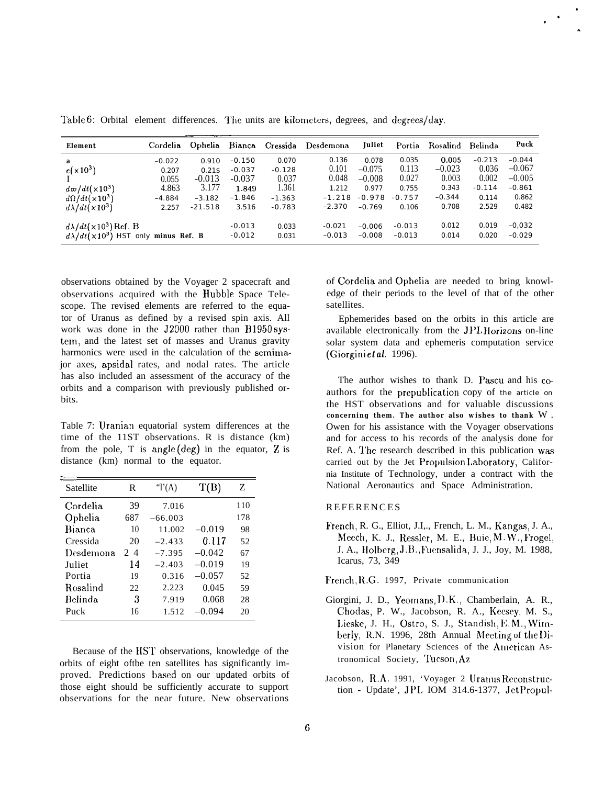| Element                                                                                                 | Cordelia                                                 | Ophelia                                                      | <b>Bianca</b>                                                  | Cressida                                                    | Desdemona                                                | Juliet                                                         | Portia                                                | Rosalind                                                 | Belinda                                                  | Puck                                                           |
|---------------------------------------------------------------------------------------------------------|----------------------------------------------------------|--------------------------------------------------------------|----------------------------------------------------------------|-------------------------------------------------------------|----------------------------------------------------------|----------------------------------------------------------------|-------------------------------------------------------|----------------------------------------------------------|----------------------------------------------------------|----------------------------------------------------------------|
| a<br>$e(\times 10^3)$<br>$d\varpi/dt(\times 10^3)$<br>$d\Omega/dt(\times 10^3)$<br>$d\lambda/dt(x10^3)$ | $-0.022$<br>0.207<br>0.055<br>4.863<br>$-4.884$<br>2.257 | 0.910<br>0.21S<br>$-0.013$<br>3.177<br>$-3.182$<br>$-21.518$ | $-0.150$<br>$-0.037$<br>$-0.037$<br>1.849<br>$-1.846$<br>3.516 | 0.070<br>$-0.128$<br>0.037<br>1.361<br>$-1.363$<br>$-0.783$ | 0.136<br>0.101<br>0.048<br>1.212<br>$-1.218$<br>$-2.370$ | 0.078<br>$-0.075$<br>$-0.008$<br>0.977<br>$-0.978$<br>$-0.769$ | 0.035<br>0.113<br>0.027<br>0.755<br>$-0.757$<br>0.106 | 0.005<br>$-0.023$<br>0.003<br>0.343<br>$-0.344$<br>0.708 | $-0.213$<br>0.036<br>0.002<br>$-0.114$<br>0.114<br>2.529 | $-0.044$<br>$-0.067$<br>$-0.005$<br>$-0.861$<br>0.862<br>0.482 |
| $d\lambda/dt$ ( $\times$ 10 <sup>3</sup> ) Ref. B<br>$d\lambda/dt(\times 10^3)$ HST only minus Ref. B   |                                                          |                                                              | $-0.013$<br>$-0.012$                                           | 0.033<br>0.031                                              | $-0.021$<br>$-0.013$                                     | $-0.006$<br>$-0.008$                                           | $-0.013$<br>$-0.013$                                  | 0.012<br>0.014                                           | 0.019<br>0.020                                           | $-0.032$<br>$-0.029$                                           |

Table 6: Orbital element differences. The units are kilometers, degrees, and degrees/day.

observations obtained by the Voyager 2 spacecraft and observations acquired with the Hubble Space Telescope. The revised elements are referred to the equator of Uranus as defined by a revised spin axis. All work was done in the  $J2000$  rather than  $B1950$  system, and the latest set of masses and Uranus gravity harmonics were used in the calculation of the semimajor axes, apsidal rates, and nodal rates. The article has also included an assessment of the accuracy of the orbits and a comparison with previously published orbits.

Table 7: Uranian equatorial system differences at the time of the 11ST observations. R is distance (km) from the pole, T is angle  $(\text{deg})$  in the equator, Z is distance (km) normal to the equator.

| Satellite | R   | " $l'(A)$ | T(B)     | Z   |
|-----------|-----|-----------|----------|-----|
| Cordelia  | 39  | 7.016     |          | 110 |
| Ophelia   | 687 | $-66.003$ |          | 178 |
| Bianca    | 10  | 11.002    | $-0.019$ | 98  |
| Cressida  | 20  | $-2.433$  | 0.117    | 52  |
| Desdemona | 2.4 | $-7.395$  | $-0.042$ | 67  |
| Juliet    | 14  | $-2.403$  | $-0.019$ | 19  |
| Portia    | 19  | 0.316     | $-0.057$ | 52  |
| Rosalind  | 22  | 2.223     | 0.045    | 59  |
| Belinda   | 3   | 7.919     | 0.068    | 28  |
| Puck      | 16  | 1.512     | $-0.094$ | 20  |

Because of the HST observations, knowledge of the orbits of eight oftbe ten satellites has significantly improved. Predictions based on our updated orbits of those eight should be sufficiently accurate to support observations for the near future. New observations

of Cordclia and Ophelia are needed to bring knowledge of their periods to the level of that of the other satellites.

.

.

. .

Ephemerides based on the orbits in this article are available electronically from the JPL Horizons on-line solar system data and ephemeris computation service (Giorgini et al. 1996).

The author wishes to thank D. Pascu and his co authors for the prepublication copy of the article on the HST observations and for valuable discussions **concerning them. The author also wishes to thank** W . Owen for his assistance with the Voyager observations and for access to his records of the analysis done for Ref. A. The research described in this publication was carried out by the Jet Propulsion Laboratory, California Institute of Technology, under a contract with the National Aeronautics and Space Administration.

### REFERENCES

French, R. G., Elliot, J.I.., French, L. M., Kangas, J. A., Meech, K. J., Ressler, M. E., Buie, M. W., Frogel, J. A., Holberg, J.B., Fuensalida, J. J., Joy, M. 1988, Icarus, 73, 349

French,  $R.G.$  1997, Private communication

- Giorgini, J. D., Yeomans, D.K., Chamberlain, A. R., Cbodas, P. W., Jacobson, R. A., Keesey, M. S., Lieske, J. H., Ostro, S. J., Standish, E.M., Wimberly, R.N. 1996, 28th Annual Meeting of the  $Di$ vision for Planetary Sciences of the American Astronomical Society, 'Ihcson, Az
- Jacobson, R.A. 1991, 'Voyager 2 Uranus Reconstruction - Update', JPL IOM 314.6-1377, Jet Propul-